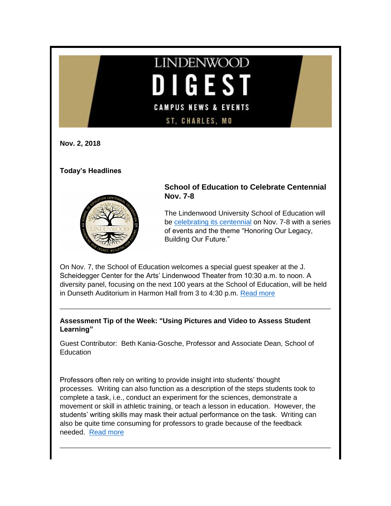# **LINDENWOOD**  $\blacksquare$ GEST **CAMPUS NEWS & EVENTS** ST, CHARLES, MO

**Nov. 2, 2018**

**Today's Headlines**



# **School of Education to Celebrate Centennial Nov. 7-8**

The Lindenwood University School of Education will be [celebrating its centennial](http://www.lindenwood.edu/academics/academic-schools/school-of-education/school-of-education-centennial-celebration/) on Nov. 7-8 with a series of events and the theme "Honoring Our Legacy, Building Our Future."

On Nov. 7, the School of Education welcomes a special guest speaker at the J. Scheidegger Center for the Arts' Lindenwood Theater from 10:30 a.m. to noon. A diversity panel, focusing on the next 100 years at the School of Education, will be held in Dunseth Auditorium in Harmon Hall from 3 to 4:30 p.m. [Read more](http://www.lindenwood.edu/about/news/details/school-of-education-to-celebrate-centennial-nov-7-8/)

**Assessment Tip of the Week: "Using Pictures and Video to Assess Student Learning"**

Guest Contributor: Beth Kania-Gosche, Professor and Associate Dean, School of **Education** 

Professors often rely on writing to provide insight into students' thought processes. Writing can also function as a description of the steps students took to complete a task, i.e., conduct an experiment for the sciences, demonstrate a movement or skill in athletic training, or teach a lesson in education. However, the students' writing skills may mask their actual performance on the task. Writing can also be quite time consuming for professors to grade because of the feedback needed. [Read more](http://felix.lindenwood.edu/newsletter/2018_11/tip_1102.pdf)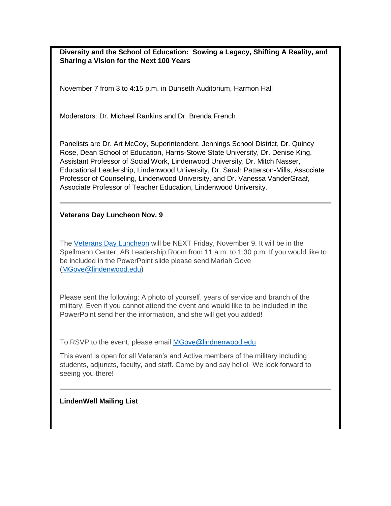**Diversity and the School of Education: Sowing a Legacy, Shifting A Reality, and Sharing a Vision for the Next 100 Years**

November 7 from 3 to 4:15 p.m. in Dunseth Auditorium, Harmon Hall

Moderators: Dr. Michael Rankins and Dr. Brenda French

Panelists are Dr. Art McCoy, Superintendent, Jennings School District, Dr. Quincy Rose, Dean School of Education, Harris-Stowe State University, Dr. Denise King, Assistant Professor of Social Work, Lindenwood University, Dr. Mitch Nasser, Educational Leadership, Lindenwood University, Dr. Sarah Patterson-Mills, Associate Professor of Counseling, Lindenwood University, and Dr. Vanessa VanderGraaf, Associate Professor of Teacher Education, Lindenwood University.

#### **Veterans Day Luncheon Nov. 9**

The [Veterans Day Luncheon](http://felix.lindenwood.edu/newsletter/2018_10/veteranslunch.pdf) will be NEXT Friday, November 9. It will be in the Spellmann Center, AB Leadership Room from 11 a.m. to 1:30 p.m. If you would like to be included in the PowerPoint slide please send Mariah Gove [\(MGove@lindenwood.edu\)](mailto:MGove@lindenwood.edu)

Please sent the following: A photo of yourself, years of service and branch of the military. Even if you cannot attend the event and would like to be included in the PowerPoint send her the information, and she will get you added!

To RSVP to the event, please email [MGove@lindnenwood.edu](mailto:MGove@lindnenwood.edu)

This event is open for all Veteran's and Active members of the military including students, adjuncts, faculty, and staff. Come by and say hello! We look forward to seeing you there!

#### **LindenWell Mailing List**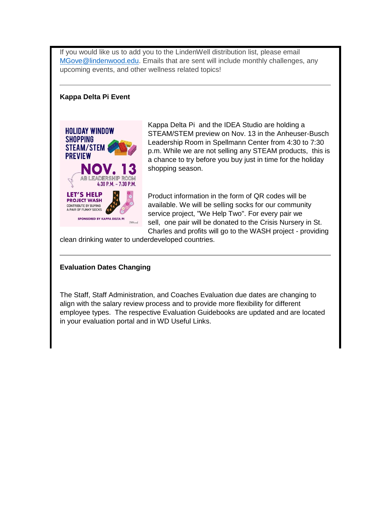If you would like us to add you to the LindenWell distribution list, please email [MGove@lindenwood.edu.](mailto:MGove@lindenwood.edu) Emails that are sent will include monthly challenges, any upcoming events, and other wellness related topics!

## **Kappa Delta Pi Event**



Kappa Delta Pi and the IDEA Studio are holding a STEAM/STEM preview on Nov. 13 in the Anheuser-Busch Leadership Room in Spellmann Center from 4:30 to 7:30 p.m. While we are not selling any STEAM products, this is a chance to try before you buy just in time for the holiday shopping season.

Product information in the form of QR codes will be available. We will be selling socks for our community service project, "We Help Two". For every pair we sell, one pair will be donated to the Crisis Nursery in St. Charles and profits will go to the WASH project - providing

clean drinking water to underdeveloped countries.

## **Evaluation Dates Changing**

The Staff, Staff Administration, and Coaches Evaluation due dates are changing to align with the salary review process and to provide more flexibility for different employee types. The respective Evaluation Guidebooks are updated and are located in your evaluation portal and in WD Useful Links.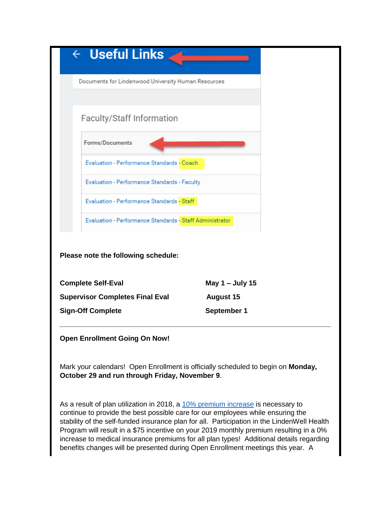| $\leftarrow$ Useful Links                                                                                                                                          |                                                                                                                                                                                       |
|--------------------------------------------------------------------------------------------------------------------------------------------------------------------|---------------------------------------------------------------------------------------------------------------------------------------------------------------------------------------|
| Documents for Lindenwood University Human Resources                                                                                                                |                                                                                                                                                                                       |
|                                                                                                                                                                    |                                                                                                                                                                                       |
| Faculty/Staff Information                                                                                                                                          |                                                                                                                                                                                       |
| Forms/Documents                                                                                                                                                    |                                                                                                                                                                                       |
| Evaluation - Performance Standards - Coach                                                                                                                         |                                                                                                                                                                                       |
| Evaluation - Performance Standards - Faculty                                                                                                                       |                                                                                                                                                                                       |
| Evaluation - Performance Standards - Staff                                                                                                                         |                                                                                                                                                                                       |
| Evaluation - Performance Standards - Staff Administrator                                                                                                           |                                                                                                                                                                                       |
| Please note the following schedule:<br><b>Complete Self-Eval</b>                                                                                                   | May 1 – July 15                                                                                                                                                                       |
| <b>Supervisor Completes Final Eval</b>                                                                                                                             | <b>August 15</b>                                                                                                                                                                      |
| <b>Sign-Off Complete</b>                                                                                                                                           | <b>September 1</b>                                                                                                                                                                    |
| <b>Open Enrollment Going On Now!</b>                                                                                                                               |                                                                                                                                                                                       |
| Mark your calendars! Open Enrollment is officially scheduled to begin on Monday,<br>October 29 and run through Friday, November 9.                                 |                                                                                                                                                                                       |
| As a result of plan utilization in 2018, a 10% premium increase is necessary to<br>continue to provide the best possible care for our employees while ensuring the | stability of the self-funded insurance plan for all. Participation in the LindenWell Health<br>Program will result in a \$75 incentive on your 2019 monthly premium resulting in a 0% |

increase to medical insurance premiums for all plan types! Additional details regarding benefits changes will be presented during Open Enrollment meetings this year. A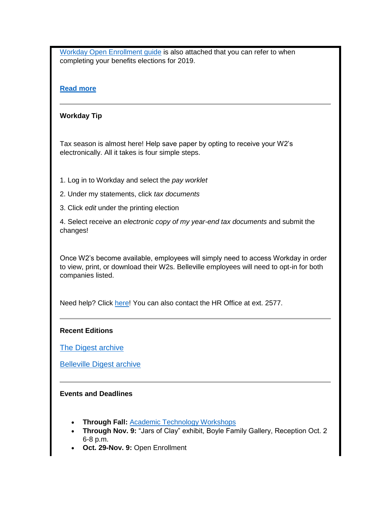[Workday Open Enrollment guide](http://felix.lindenwood.edu/newsletter/2018_10/2019openenrollmentguide.pdf) is also attached that you can refer to when completing your benefits elections for 2019.

## **[Read more](http://felix.lindenwood.edu/newsletter/2018_10/openenrollment.pdf)**

## **Workday Tip**

Tax season is almost here! Help save paper by opting to receive your W2's electronically. All it takes is four simple steps.

1. Log in to Workday and select the *pay worklet*

- 2. Under my statements, click *tax documents*
- 3. Click *edit* under the printing election

4. Select receive an *electronic copy of my year-end tax documents* and submit the changes!

Once W2's become available, employees will simply need to access Workday in order to view, print, or download their W2s. Belleville employees will need to opt-in for both companies listed.

Need help? Click [here!](http://felix.lindenwood.edu/newsletter/2018_10/w2.pdf) You can also contact the HR Office at ext. 2577.

#### **Recent Editions**

[The Digest archive](http://www.lindenwood.edu/about/digest-archives/)

[Belleville Digest archive](http://www.lindenwood.edu/belleville/about/lindenwood-belleville-digest-archives/)

## **Events and Deadlines**

- **Through Fall:** [Academic Technology Workshops](http://felix.lindenwood.edu/newsletter/2018_08/fallstaffcatalog.pdf)
- **Through Nov. 9:** "Jars of Clay" exhibit, Boyle Family Gallery, Reception Oct. 2 6-8 p.m.
- **Oct. 29-Nov. 9: Open Enrollment**